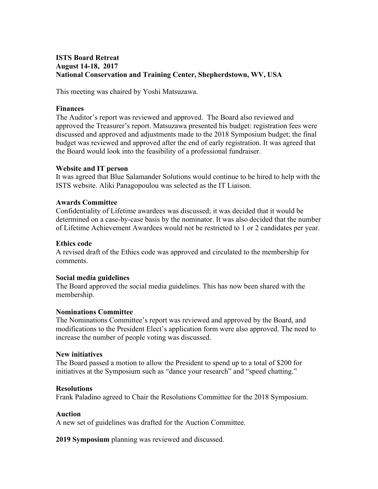## **ISTS Board Retreat August 14-18, 2017 National Conservation and Training Center, Shepherdstown, WV, USA**

This meeting was chaired by Yoshi Matsuzawa.

#### **Finances**

The Auditor's report was reviewed and approved. The Board also reviewed and approved the Treasurer's report. Matsuzawa presented his budget: registration fees were discussed and approved and adjustments made to the 2018 Symposium budget; the final budget was reviewed and approved after the end of early registration. It was agreed that the Board would look into the feasibility of a professional fundraiser.

### **Website and IT person**

It was agreed that Blue Salamander Solutions would continue to be hired to help with the ISTS website. Aliki Panagopoulou was selected as the IT Liaison.

### **Awards Committee**

Confidentiality of Lifetime awardees was discussed; it was decided that it would be determined on a case-by-case basis by the nominator. It was also decided that the number of Lifetime Achievement Awardees would not be restricted to 1 or 2 candidates per year.

### **Ethics code**

A revised draft of the Ethics code was approved and circulated to the membership for comments.

#### **Social media guidelines**

The Board approved the social media guidelines. This has now been shared with the membership.

# **Nominations Committee**

The Nominations Committee's report was reviewed and approved by the Board, and modifications to the President Elect's application form were also approved. The need to increase the number of people voting was discussed.

#### **New initiatives**

The Board passed a motion to allow the President to spend up to a total of \$200 for initiatives at the Symposium such as "dance your research" and "speed chatting."

# **Resolutions**

Frank Paladino agreed to Chair the Resolutions Committee for the 2018 Symposium.

# **Auction**

A new set of guidelines was drafted for the Auction Committee.

**2019 Symposium** planning was reviewed and discussed.